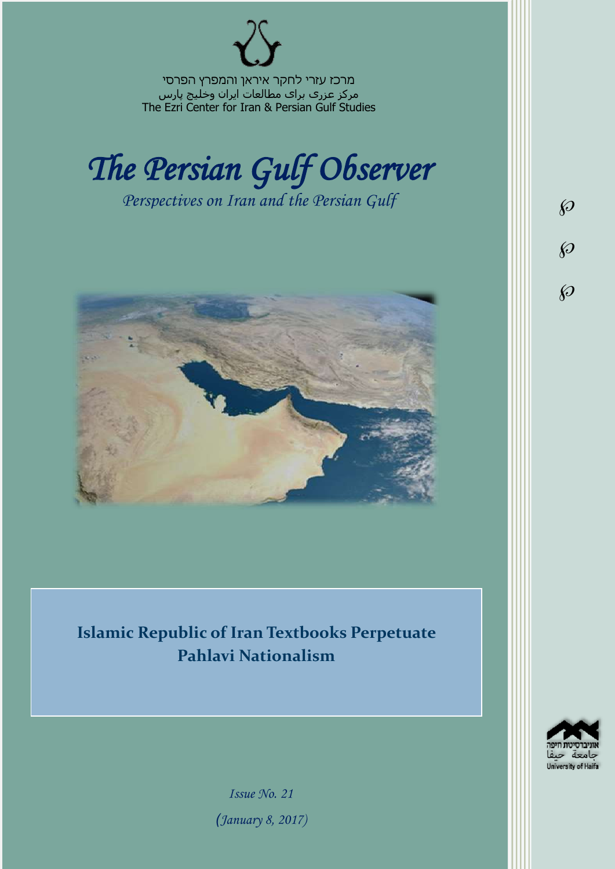מרכז עזרי לחקר איראן והמפרץ הפרסי مرکز عزری برای مطالعات ایران وخلیج پارس The Ezri Center for Iran & Persian Gulf Studies



*Perspectives on Iran and the Persian Gulf* 



**Islamic Republic of Iran Textbooks Perpetuate Pahlavi Nationalism**



 $\wp$ 

 $\wp$ 

 $\wp$ 

*Issue No. 21 )January 8, 2017)*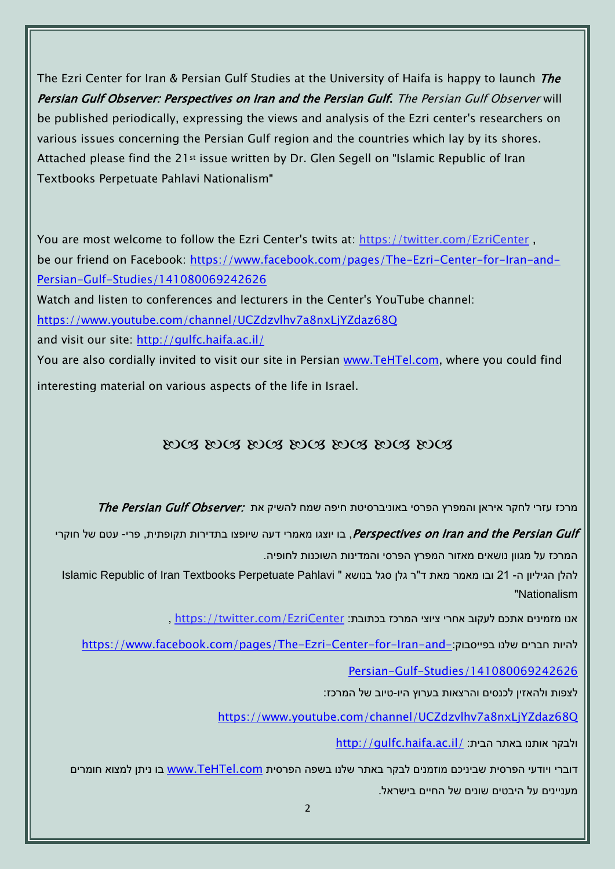The Ezri Center for Iran & Persian Gulf Studies at the University of Haifa is happy to launch *The* Persian Gulf Observer: Perspectives on Iran and the Persian Gulf. The Persian Gulf Observer will be published periodically, expressing the views and analysis of the Ezri center's researchers on various issues concerning the Persian Gulf region and the countries which lay by its shores. Attached please find the 21st issue written by Dr. Glen Segell on "Islamic Republic of Iran Textbooks Perpetuate Pahlavi Nationalism"

You are most welcome to follow the Ezri Center's twits at: <https://twitter.com/EzriCenter>, be our friend on Facebook: [https://www.facebook.com/pages/The-Ezri-Center-for-Iran-and-](https://www.facebook.com/pages/The-Ezri-Center-for-Iran-and-Persian-Gulf-Studies/141080069242626)[Persian-Gulf-Studies/141080069242626](https://www.facebook.com/pages/The-Ezri-Center-for-Iran-and-Persian-Gulf-Studies/141080069242626)

Watch and listen to conferences and lecturers in the Center's YouTube channel:

<https://www.youtube.com/channel/UCZdzvlhv7a8nxLjYZdaz68Q>

and visit our site:<http://gulfc.haifa.ac.il/>

You are also cordially invited to visit our site in Persian [www.TeHTel.com,](http://www.tehtel.com/) where you could find

interesting material on various aspects of the life in Israel.

## DOS DOS DOS DOS DOS DOS DOS

מרכז עזרי לחקר איראן והמפרץ הפרסי באוניברסיטת חיפה שמח להשיק את :*The Persian Gulf Observer* 

Perspectives on Iran and the Persian Gulf , בו יוצגו מאמרי דעה שיופצו בתדירות תקופתית, פרי- עטם של חוקרי

המרכז על מגוון נושאים מאזור המפרץ הפרסי והמדינות השוכנות לחופיה.

להלן הגיליון ה- 21 ובו מאמר מאת ד"ר גלן סגל בנושא " Islamic Republic of Iran Textbooks Perpetuate Pahlavi "Nationalism

אנו מזמינים אתכם לעקוב אחרי ציוצי המרכז בכתובת: [EzriCenter/com.twitter://https](https://twitter.com/EzriCenter) ,

[https://www.facebook.com/pages/The-Ezri-Center-for-Iran-and-](https://www.facebook.com/pages/The-Ezri-Center-for-Iran-and-Persian-Gulf-Studies/141080069242626)

[Persian-Gulf-Studies/141080069242626](https://www.facebook.com/pages/The-Ezri-Center-for-Iran-and-Persian-Gulf-Studies/141080069242626)

לצפות ולהאזין לכנסים והרצאות בערוץ היו-טיוב של המרכז:

<https://www.youtube.com/channel/UCZdzvlhv7a8nxLjYZdaz68Q>

<http://gulfc.haifa.ac.il/> ולבקר אותנו באתר הבית:

דוברי ויודעי הפרסית שביניכם מוזמנים לבקר באתר שלנו בשפה הפרסית [com.TeHTel.www](http://www.tehtel.com/) בו ניתן למצוא חומרים מעניינים על היבטים שונים של החיים בישראל.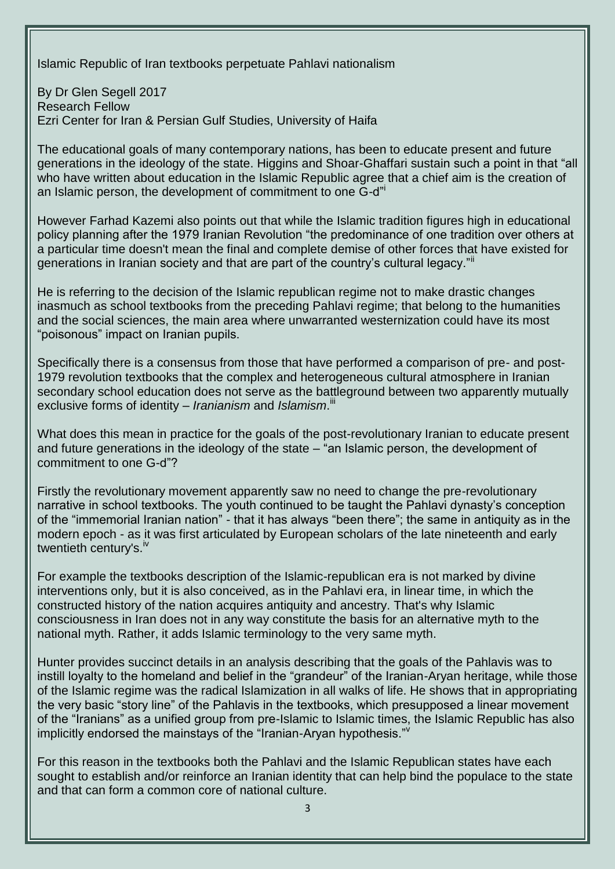Islamic Republic of Iran textbooks perpetuate Pahlavi nationalism

By Dr Glen Segell 2017 Research Fellow Ezri Center for Iran & Persian Gulf Studies, University of Haifa

The educational goals of many contemporary nations, has been to educate present and future generations in the ideology of the state. Higgins and Shoar-Ghaffari sustain such a point in that "all who have written about education in the Islamic Republic agree that a chief aim is the creation of an Islamic person, the development of commitment to one G-d"<sup>i</sup>

However Farhad Kazemi also points out that while the Islamic tradition figures high in educational policy planning after the 1979 Iranian Revolution "the predominance of one tradition over others at a particular time doesn't mean the final and complete demise of other forces that have existed for generations in Iranian society and that are part of the country's cultural legacy."ii

He is referring to the decision of the Islamic republican regime not to make drastic changes inasmuch as school textbooks from the preceding Pahlavi regime; that belong to the humanities and the social sciences, the main area where unwarranted westernization could have its most "poisonous" impact on Iranian pupils.

Specifically there is a consensus from those that have performed a comparison of pre- and post-1979 revolution textbooks that the complex and heterogeneous cultural atmosphere in Iranian secondary school education does not serve as the battleground between two apparently mutually exclusive forms of identity – *Iranianism* and *Islamism*. iii

What does this mean in practice for the goals of the post-revolutionary Iranian to educate present and future generations in the ideology of the state – "an Islamic person, the development of commitment to one G-d"?

Firstly the revolutionary movement apparently saw no need to change the pre-revolutionary narrative in school textbooks. The youth continued to be taught the Pahlavi dynasty's conception of the "immemorial Iranian nation" - that it has always "been there"; the same in antiquity as in the modern epoch - as it was first articulated by European scholars of the late nineteenth and early twentieth century's.<sup>iv</sup>

For example the textbooks description of the Islamic-republican era is not marked by divine interventions only, but it is also conceived, as in the Pahlavi era, in linear time, in which the constructed history of the nation acquires antiquity and ancestry. That's why Islamic consciousness in Iran does not in any way constitute the basis for an alternative myth to the national myth. Rather, it adds Islamic terminology to the very same myth.

Hunter provides succinct details in an analysis describing that the goals of the Pahlavis was to instill loyalty to the homeland and belief in the "grandeur" of the Iranian-Aryan heritage, while those of the Islamic regime was the radical Islamization in all walks of life. He shows that in appropriating the very basic "story line" of the Pahlavis in the textbooks, which presupposed a linear movement of the "Iranians" as a unified group from pre-Islamic to Islamic times, the Islamic Republic has also implicitly endorsed the mainstays of the "Iranian-Aryan hypothesis." $\sqrt{v}$ 

For this reason in the textbooks both the Pahlavi and the Islamic Republican states have each sought to establish and/or reinforce an Iranian identity that can help bind the populace to the state and that can form a common core of national culture.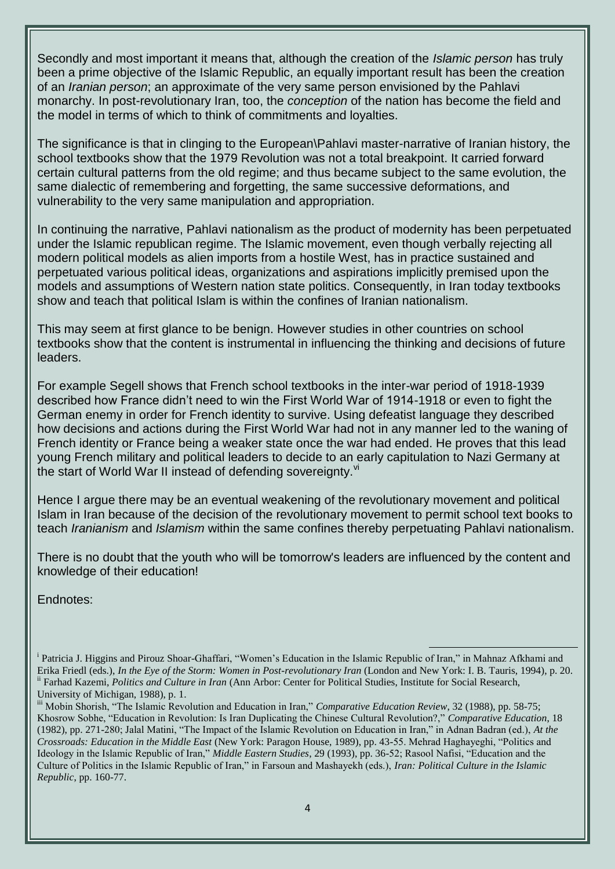Secondly and most important it means that, although the creation of the *Islamic person* has truly been a prime objective of the Islamic Republic, an equally important result has been the creation of an *Iranian person*; an approximate of the very same person envisioned by the Pahlavi monarchy. In post-revolutionary Iran, too, the *conception* of the nation has become the field and the model in terms of which to think of commitments and loyalties.

The significance is that in clinging to the European\Pahlavi master-narrative of Iranian history, the school textbooks show that the 1979 Revolution was not a total breakpoint. It carried forward certain cultural patterns from the old regime; and thus became subject to the same evolution, the same dialectic of remembering and forgetting, the same successive deformations, and vulnerability to the very same manipulation and appropriation.

In continuing the narrative, Pahlavi nationalism as the product of modernity has been perpetuated under the Islamic republican regime. The Islamic movement, even though verbally rejecting all modern political models as alien imports from a hostile West, has in practice sustained and perpetuated various political ideas, organizations and aspirations implicitly premised upon the models and assumptions of Western nation state politics. Consequently, in Iran today textbooks show and teach that political Islam is within the confines of Iranian nationalism.

This may seem at first glance to be benign. However studies in other countries on school textbooks show that the content is instrumental in influencing the thinking and decisions of future leaders.

For example Segell shows that French school textbooks in the inter-war period of 1918-1939 described how France didn't need to win the First World War of 1914-1918 or even to fight the German enemy in order for French identity to survive. Using defeatist language they described how decisions and actions during the First World War had not in any manner led to the waning of French identity or France being a weaker state once the war had ended. He proves that this lead young French military and political leaders to decide to an early capitulation to Nazi Germany at the start of World War II instead of defending sovereignty. VI

Hence I argue there may be an eventual weakening of the revolutionary movement and political Islam in Iran because of the decision of the revolutionary movement to permit school text books to teach *Iranianism* and *Islamism* within the same confines thereby perpetuating Pahlavi nationalism.

There is no doubt that the youth who will be tomorrow's leaders are influenced by the content and knowledge of their education!

Endnotes:

 $\overline{a}$ 

i Patricia J. Higgins and Pirouz Shoar-Ghaffari, "Women's Education in the Islamic Republic of Iran," in Mahnaz Afkhami and Erika Friedl (eds.), *In the Eye of the Storm: Women in Post-revolutionary Iran* (London and New York: I. B. Tauris, 1994), p. 20. ii Farhad Kazemi, *Politics and Culture in Iran* (Ann Arbor: Center for Political Studies, Institute for Social Research, University of Michigan, 1988), p. 1.

iii Mobin Shorish, "The Islamic Revolution and Education in Iran," *Comparative Education Review*, 32 (1988), pp. 58-75; Khosrow Sobhe, "Education in Revolution: Is Iran Duplicating the Chinese Cultural Revolution?," *Comparative Education*, 18 (1982), pp. 271-280; Jalal Matini, "The Impact of the Islamic Revolution on Education in Iran," in Adnan Badran (ed.), *At the Crossroads: Education in the Middle East* (New York: Paragon House, 1989), pp. 43-55. Mehrad Haghayeghi, "Politics and Ideology in the Islamic Republic of Iran," *Middle Eastern Studies*, 29 (1993), pp. 36-52; Rasool Nafisi, "Education and the Culture of Politics in the Islamic Republic of Iran," in Farsoun and Mashayekh (eds.), *Iran: Political Culture in the Islamic Republic*, pp. 160-77.